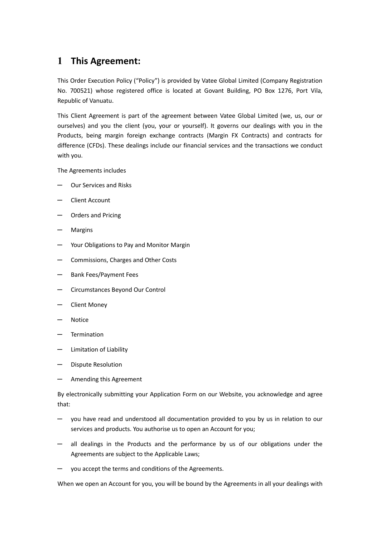# **1 This Agreement:**

This Order Execution Policy ("Policy") is provided by Vatee Global Limited (Company Registration No. 700521) whose registered office is located at Govant Building, PO Box 1276, Port Vila, Republic of Vanuatu.

This Client Agreement is part of the agreement between Vatee Global Limited (we, us, our or ourselves) and you the client (you, your or yourself). It governs our dealings with you in the Products, being margin foreign exchange contracts (Margin FX Contracts) and contracts for difference (CFDs). These dealings include our financial services and the transactions we conduct with you.

The Agreements includes

- Our Services and Risks
- ─ Client Account
- ─ Orders and Pricing
- **Margins**
- Your Obligations to Pay and Monitor Margin
- Commissions, Charges and Other Costs
- ─ Bank Fees/Payment Fees
- ─ Circumstances Beyond Our Control
- ─ Client Money
- ─ Notice
- **Termination**
- Limitation of Liability
- Dispute Resolution
- Amending this Agreement

By electronically submitting your Application Form on our Website, you acknowledge and agree that:

- you have read and understood all documentation provided to you by us in relation to our services and products. You authorise us to open an Account for you;
- all dealings in the Products and the performance by us of our obligations under the Agreements are subject to the Applicable Laws;
- ─ you accept the terms and conditions of the Agreements.

When we open an Account for you, you will be bound by the Agreements in all your dealings with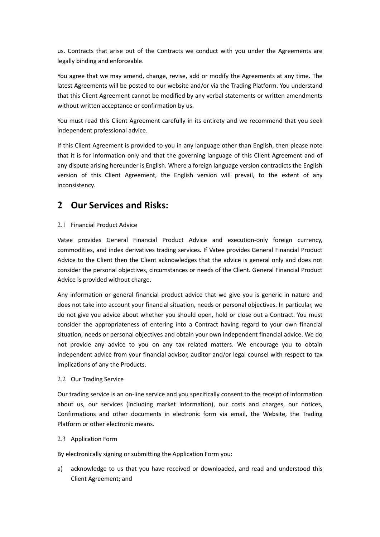us. Contracts that arise out of the Contracts we conduct with you under the Agreements are legally binding and enforceable.

You agree that we may amend, change, revise, add or modify the Agreements at any time. The latest Agreements will be posted to our website and/or via the Trading Platform. You understand that this Client Agreement cannot be modified by any verbal statements or written amendments without written acceptance or confirmation by us.

You must read this Client Agreement carefully in its entirety and we recommend that you seek independent professional advice.

If this Client Agreement is provided to you in any language other than English, then please note that it is for information only and that the governing language of this Client Agreement and of any dispute arising hereunder is English. Where a foreign language version contradicts the English version of this Client Agreement, the English version will prevail, to the extent of any inconsistency.

## **2 Our Services and Risks:**

## 2.1 Financial Product Advice

Vatee provides General Financial Product Advice and execution-only foreign currency, commodities, and index derivatives trading services. If Vatee provides General Financial Product Advice to the Client then the Client acknowledges that the advice is general only and does not consider the personal objectives, circumstances or needs of the Client. General Financial Product Advice is provided without charge.

Any information or general financial product advice that we give you is generic in nature and does not take into account your financial situation, needs or personal objectives. In particular, we do not give you advice about whether you should open, hold or close out a Contract. You must consider the appropriateness of entering into a Contract having regard to your own financial situation, needs or personal objectives and obtain your own independent financial advice. We do not provide any advice to you on any tax related matters. We encourage you to obtain independent advice from your financial advisor, auditor and/or legal counsel with respect to tax implications of any the Products.

### 2.2 Our Trading Service

Our trading service is an on-line service and you specifically consent to the receipt of information about us, our services (including market information), our costs and charges, our notices, Confirmations and other documents in electronic form via email, the Website, the Trading Platform or other electronic means.

### 2.3 Application Form

By electronically signing or submitting the Application Form you:

a) acknowledge to us that you have received or downloaded, and read and understood this Client Agreement; and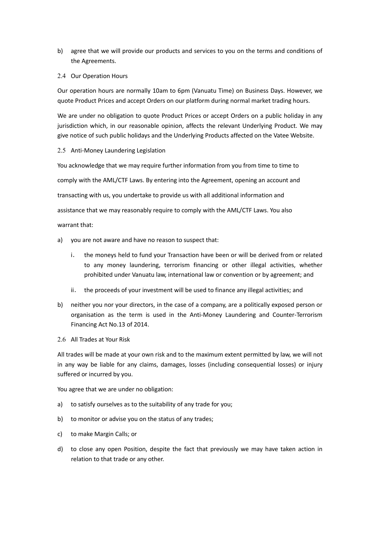- b) agree that we will provide our products and services to you on the terms and conditions of the Agreements.
- 2.4 Our Operation Hours

Our operation hours are normally 10am to 6pm (Vanuatu Time) on Business Days. However, we quote Product Prices and accept Orders on our platform during normal market trading hours.

We are under no obligation to quote Product Prices or accept Orders on a public holiday in any jurisdiction which, in our reasonable opinion, affects the relevant Underlying Product. We may give notice of such public holidays and the Underlying Products affected on the Vatee Website.

2.5 Anti-Money Laundering Legislation

You acknowledge that we may require further information from you from time to time to comply with the AML/CTF Laws. By entering into the Agreement, opening an account and transacting with us, you undertake to provide us with all additional information and assistance that we may reasonably require to comply with the AML/CTF Laws. You also warrant that:

- a) you are not aware and have no reason to suspect that:
	- i. the moneys held to fund your Transaction have been or will be derived from or related to any money laundering, terrorism financing or other illegal activities, whether prohibited under Vanuatu law, international law or convention or by agreement; and
	- ii. the proceeds of your investment will be used to finance any illegal activities; and
- b) neither you nor your directors, in the case of a company, are a politically exposed person or organisation as the term is used in the Anti-Money Laundering and Counter-Terrorism Financing Act No.13 of 2014.
- 2.6 All Trades at Your Risk

All trades will be made at your own risk and to the maximum extent permitted by law, we will not in any way be liable for any claims, damages, losses (including consequential losses) or injury suffered or incurred by you.

You agree that we are under no obligation:

- a) to satisfy ourselves as to the suitability of any trade for you;
- b) to monitor or advise you on the status of any trades;
- c) to make Margin Calls; or
- d) to close any open Position, despite the fact that previously we may have taken action in relation to that trade or any other.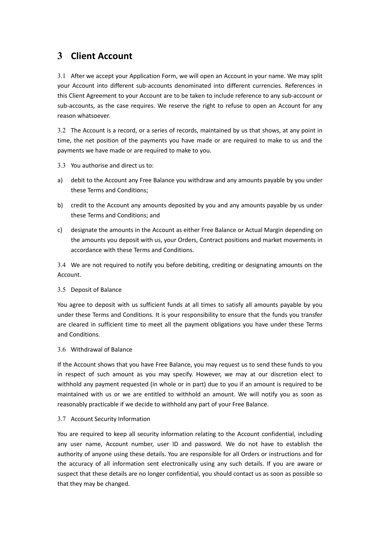# **3 Client Account**

3.1 After we accept your Application Form, we will open an Account in your name. We may split your Account into different sub-accounts denominated into different currencies. References in this Client Agreement to your Account are to be taken to include reference to any sub-account or sub-accounts, as the case requires. We reserve the right to refuse to open an Account for any reason whatsoever.

3.2 The Account is a record, or a series of records, maintained by us that shows, at any point in time, the net position of the payments you have made or are required to make to us and the payments we have made or are required to make to you.

- 3.3 You authorise and direct us to:
- a) debit to the Account any Free Balance you withdraw and any amounts payable by you under these Terms and Conditions;
- b) credit to the Account any amounts deposited by you and any amounts payable by us under these Terms and Conditions; and
- c) designate the amounts in the Account as either Free Balance or Actual Margin depending on the amounts you deposit with us, your Orders, Contract positions and market movements in accordance with these Terms and Conditions.

3.4 We are not required to notify you before debiting, crediting or designating amounts on the Account.

### 3.5 Deposit of Balance

You agree to deposit with us sufficient funds at all times to satisfy all amounts payable by you under these Terms and Conditions. It is your responsibility to ensure that the funds you transfer are cleared in sufficient time to meet all the payment obligations you have under these Terms and Conditions.

### 3.6 Withdrawal of Balance

If the Account shows that you have Free Balance, you may request us to send these funds to you in respect of such amount as you may specify. However, we may at our discretion elect to withhold any payment requested (in whole or in part) due to you if an amount is required to be maintained with us or we are entitled to withhold an amount. We will notify you as soon as reasonably practicable if we decide to withhold any part of your Free Balance.

### 3.7 Account Security Information

You are required to keep all security information relating to the Account confidential, including any user name, Account number, user ID and password. We do not have to establish the authority of anyone using these details. You are responsible for all Orders or instructions and for the accuracy of all information sent electronically using any such details. If you are aware or suspect that these details are no longer confidential, you should contact us as soon as possible so that they may be changed.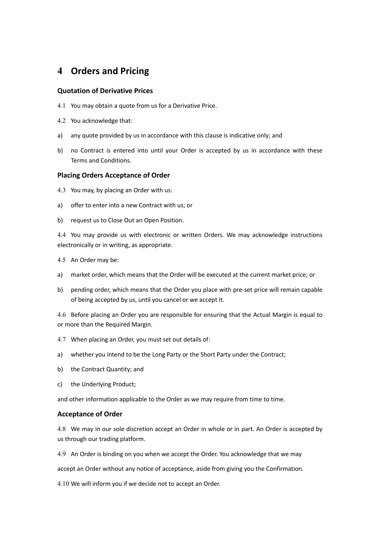## **4 Orders and Pricing**

### **Quotation of Derivative Prices**

- 4.1 You may obtain a quote from us for a Derivative Price.
- 4.2 You acknowledge that:
- a) any quote provided by us in accordance with this clause is indicative only; and
- b) no Contract is entered into until your Order is accepted by us in accordance with these Terms and Conditions.

#### **Placing Orders Acceptance of Order**

- 4.3 You may, by placing an Order with us:
- a) offer to enter into a new Contract with us; or
- b) request us to Close Out an Open Position.

4.4 You may provide us with electronic or written Orders. We may acknowledge instructions electronically or in writing, as appropriate.

- 4.5 An Order may be:
- a) market order, which means that the Order will be executed at the current market price; or
- b) pending order, which means that the Order you place with pre-set price will remain capable of being accepted by us, until you cancel or we accept it.

4.6 Before placing an Order you are responsible for ensuring that the Actual Margin is equal to or more than the Required Margin.

- 4.7 When placing an Order, you must set out details of:
- a) whether you intend to be the Long Party or the Short Party under the Contract;
- b) the Contract Quantity; and
- c) the Underlying Product;

and other information applicable to the Order as we may require from time to time.

#### **Acceptance of Order**

4.8 We may in our sole discretion accept an Order in whole or in part. An Order is accepted by us through our trading platform.

4.9 An Order is binding on you when we accept the Order. You acknowledge that we may

accept an Order without any notice of acceptance, aside from giving you the Confirmation.

4.10 We will inform you if we decide not to accept an Order.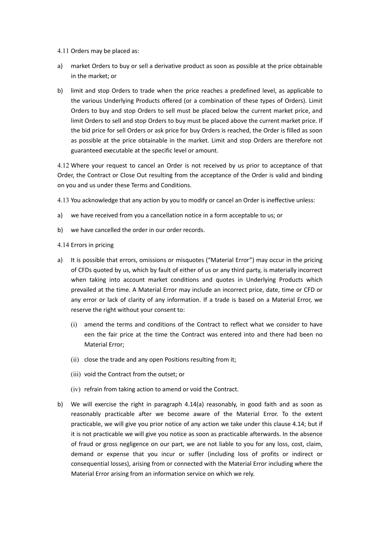4.11 Orders may be placed as:

- a) market Orders to buy or sell a derivative product as soon as possible at the price obtainable in the market; or
- b) limit and stop Orders to trade when the price reaches a predefined level, as applicable to the various Underlying Products offered (or a combination of these types of Orders). Limit Orders to buy and stop Orders to sell must be placed below the current market price, and limit Orders to sell and stop Orders to buy must be placed above the current market price. If the bid price for sell Orders or ask price for buy Orders is reached, the Order is filled as soon as possible at the price obtainable in the market. Limit and stop Orders are therefore not guaranteed executable at the specific level or amount.

4.12 Where your request to cancel an Order is not received by us prior to acceptance of that Order, the Contract or Close Out resulting from the acceptance of the Order is valid and binding on you and us under these Terms and Conditions.

4.13 You acknowledge that any action by you to modify or cancel an Order is ineffective unless:

- a) we have received from you a cancellation notice in a form acceptable to us; or
- b) we have cancelled the order in our order records.
- 4.14 Errors in pricing
- a) It is possible that errors, omissions or misquotes ("Material Error") may occur in the pricing of CFDs quoted by us, which by fault of either of us or any third party, is materially incorrect when taking into account market conditions and quotes in Underlying Products which prevailed at the time. A Material Error may include an incorrect price, date, time or CFD or any error or lack of clarity of any information. If a trade is based on a Material Error, we reserve the right without your consent to:
	- (i) amend the terms and conditions of the Contract to reflect what we consider to have een the fair price at the time the Contract was entered into and there had been no Material Error;
	- (ii) close the trade and any open Positions resulting from it;
	- (iii) void the Contract from the outset; or
	- (iv) refrain from taking action to amend or void the Contract.
- b) We will exercise the right in paragraph 4.14(a) reasonably, in good faith and as soon as reasonably practicable after we become aware of the Material Error. To the extent practicable, we will give you prior notice of any action we take under this clause 4.14; but if it is not practicable we will give you notice as soon as practicable afterwards. In the absence of fraud or gross negligence on our part, we are not liable to you for any loss, cost, claim, demand or expense that you incur or suffer (including loss of profits or indirect or consequential losses), arising from or connected with the Material Error including where the Material Error arising from an information service on which we rely.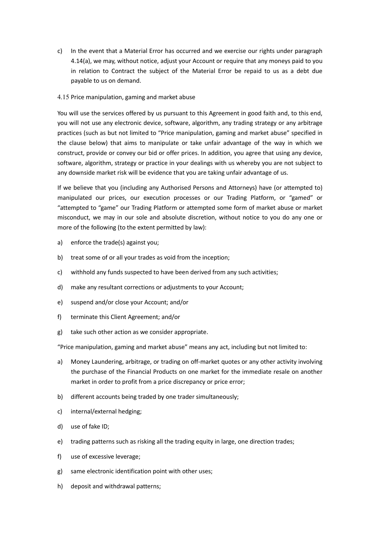- c) In the event that a Material Error has occurred and we exercise our rights under paragraph 4.14(a), we may, without notice, adjust your Account or require that any moneys paid to you in relation to Contract the subject of the Material Error be repaid to us as a debt due payable to us on demand.
- 4.15 Price manipulation, gaming and market abuse

You will use the services offered by us pursuant to this Agreement in good faith and, to this end, you will not use any electronic device, software, algorithm, any trading strategy or any arbitrage practices (such as but not limited to "Price manipulation, gaming and market abuse" specified in the clause below) that aims to manipulate or take unfair advantage of the way in which we construct, provide or convey our bid or offer prices. In addition, you agree that using any device, software, algorithm, strategy or practice in your dealings with us whereby you are not subject to any downside market risk will be evidence that you are taking unfair advantage of us.

If we believe that you (including any Authorised Persons and Attorneys) have (or attempted to) manipulated our prices, our execution processes or our Trading Platform, or "gamed" or "attempted to "game" our Trading Platform or attempted some form of market abuse or market misconduct, we may in our sole and absolute discretion, without notice to you do any one or more of the following (to the extent permitted by law):

- a) enforce the trade(s) against you;
- b) treat some of or all your trades as void from the inception;
- c) withhold any funds suspected to have been derived from any such activities;
- d) make any resultant corrections or adjustments to your Account;
- e) suspend and/or close your Account; and/or
- f) terminate this Client Agreement; and/or
- g) take such other action as we consider appropriate.

"Price manipulation, gaming and market abuse" means any act, including but not limited to:

- a) Money Laundering, arbitrage, or trading on off-market quotes or any other activity involving the purchase of the Financial Products on one market for the immediate resale on another market in order to profit from a price discrepancy or price error;
- b) different accounts being traded by one trader simultaneously;
- c) internal/external hedging;
- d) use of fake ID;
- e) trading patterns such as risking all the trading equity in large, one direction trades;
- f) use of excessive leverage;
- g) same electronic identification point with other uses;
- h) deposit and withdrawal patterns;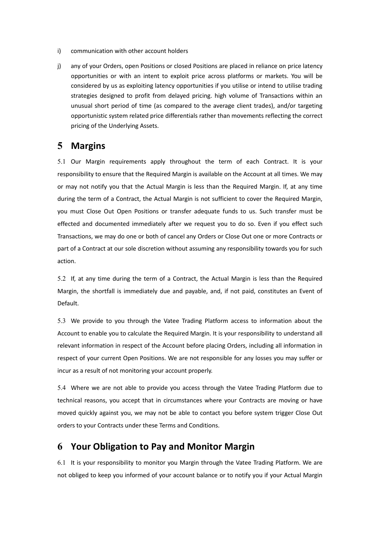- i) communication with other account holders
- j) any of your Orders, open Positions or closed Positions are placed in reliance on price latency opportunities or with an intent to exploit price across platforms or markets. You will be considered by us as exploiting latency opportunities if you utilise or intend to utilise trading strategies designed to profit from delayed pricing. high volume of Transactions within an unusual short period of time (as compared to the average client trades), and/or targeting opportunistic system related price differentials rather than movements reflecting the correct pricing of the Underlying Assets.

## **5 Margins**

5.1 Our Margin requirements apply throughout the term of each Contract. It is your responsibility to ensure that the Required Margin is available on the Account at all times. We may or may not notify you that the Actual Margin is less than the Required Margin. If, at any time during the term of a Contract, the Actual Margin is not sufficient to cover the Required Margin, you must Close Out Open Positions or transfer adequate funds to us. Such transfer must be effected and documented immediately after we request you to do so. Even if you effect such Transactions, we may do one or both of cancel any Orders or Close Out one or more Contracts or part of a Contract at our sole discretion without assuming any responsibility towards you for such action.

5.2 If, at any time during the term of a Contract, the Actual Margin is less than the Required Margin, the shortfall is immediately due and payable, and, if not paid, constitutes an Event of Default.

5.3 We provide to you through the Vatee Trading Platform access to information about the Account to enable you to calculate the Required Margin. It is your responsibility to understand all relevant information in respect of the Account before placing Orders, including all information in respect of your current Open Positions. We are not responsible for any losses you may suffer or incur as a result of not monitoring your account properly.

5.4 Where we are not able to provide you access through the Vatee Trading Platform due to technical reasons, you accept that in circumstances where your Contracts are moving or have moved quickly against you, we may not be able to contact you before system trigger Close Out orders to your Contracts under these Terms and Conditions.

## **6 Your Obligation to Pay and Monitor Margin**

6.1 It is your responsibility to monitor you Margin through the Vatee Trading Platform. We are not obliged to keep you informed of your account balance or to notify you if your Actual Margin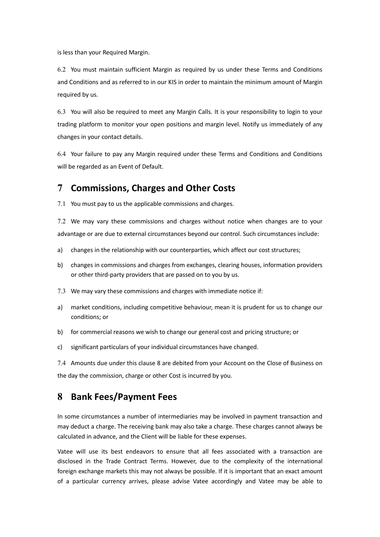is less than your Required Margin.

6.2 You must maintain sufficient Margin as required by us under these Terms and Conditions and Conditions and as referred to in our KIS in order to maintain the minimum amount of Margin required by us.

6.3 You will also be required to meet any Margin Calls. It is your responsibility to login to your trading platform to monitor your open positions and margin level. Notify us immediately of any changes in your contact details.

6.4 Your failure to pay any Margin required under these Terms and Conditions and Conditions will be regarded as an Event of Default.

# **7 Commissions, Charges and Other Costs**

7.1 You must pay to us the applicable commissions and charges.

7.2 We may vary these commissions and charges without notice when changes are to your advantage or are due to external circumstances beyond our control. Such circumstances include:

- a) changes in the relationship with our counterparties, which affect our cost structures;
- b) changes in commissions and charges from exchanges, clearing houses, information providers or other third-party providers that are passed on to you by us.
- 7.3 We may vary these commissions and charges with immediate notice if:
- a) market conditions, including competitive behaviour, mean it is prudent for us to change our conditions; or
- b) for commercial reasons we wish to change our general cost and pricing structure; or
- c) significant particulars of your individual circumstances have changed.

7.4 Amounts due under this clause 8 are debited from your Account on the Close of Business on the day the commission, charge or other Cost is incurred by you.

# **8 Bank Fees/Payment Fees**

In some circumstances a number of intermediaries may be involved in payment transaction and may deduct a charge. The receiving bank may also take a charge. These charges cannot always be calculated in advance, and the Client will be liable for these expenses.

Vatee will use its best endeavors to ensure that all fees associated with a transaction are disclosed in the Trade Contract Terms. However, due to the complexity of the international foreign exchange markets this may not always be possible. If it is important that an exact amount of a particular currency arrives, please advise Vatee accordingly and Vatee may be able to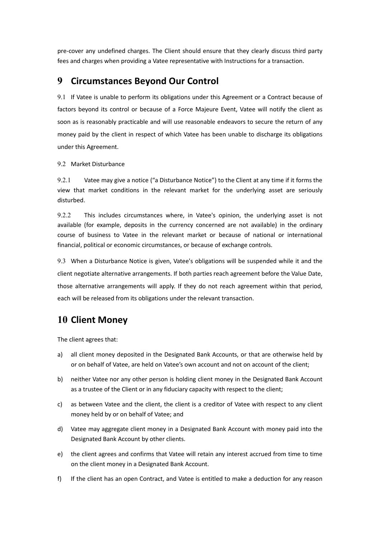pre-cover any undefined charges. The Client should ensure that they clearly discuss third party fees and charges when providing a Vatee representative with Instructions for a transaction.

## **9 Circumstances Beyond Our Control**

9.1 If Vatee is unable to perform its obligations under this Agreement or a Contract because of factors beyond its control or because of a Force Majeure Event, Vatee will notify the client as soon as is reasonably practicable and will use reasonable endeavors to secure the return of any money paid by the client in respect of which Vatee has been unable to discharge its obligations under this Agreement.

### 9.2 Market Disturbance

9.2.1 Vatee may give a notice ("a Disturbance Notice") to the Client at any time if it forms the view that market conditions in the relevant market for the underlying asset are seriously disturbed.

9.2.2 This includes circumstances where, in Vatee's opinion, the underlying asset is not available (for example, deposits in the currency concerned are not available) in the ordinary course of business to Vatee in the relevant market or because of national or international financial, political or economic circumstances, or because of exchange controls.

9.3 When a Disturbance Notice is given, Vatee's obligations will be suspended while it and the client negotiate alternative arrangements. If both parties reach agreement before the Value Date, those alternative arrangements will apply. If they do not reach agreement within that period, each will be released from its obligations under the relevant transaction.

## **10 Client Money**

The client agrees that:

- a) all client money deposited in the Designated Bank Accounts, or that are otherwise held by or on behalf of Vatee, are held on Vatee's own account and not on account of the client;
- b) neither Vatee nor any other person is holding client money in the Designated Bank Account as a trustee of the Client or in any fiduciary capacity with respect to the client;
- c) as between Vatee and the client, the client is a creditor of Vatee with respect to any client money held by or on behalf of Vatee; and
- d) Vatee may aggregate client money in a Designated Bank Account with money paid into the Designated Bank Account by other clients.
- e) the client agrees and confirms that Vatee will retain any interest accrued from time to time on the client money in a Designated Bank Account.
- f) If the client has an open Contract, and Vatee is entitled to make a deduction for any reason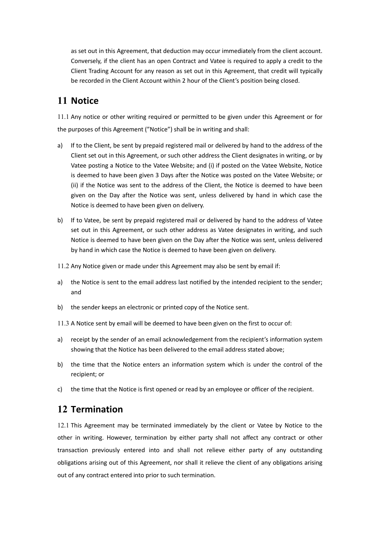as set out in this Agreement, that deduction may occur immediately from the client account. Conversely, if the client has an open Contract and Vatee is required to apply a credit to the Client Trading Account for any reason as set out in this Agreement, that credit will typically be recorded in the Client Account within 2 hour of the Client's position being closed.

## **11 Notice**

11.1 Any notice or other writing required or permitted to be given under this Agreement or for the purposes of this Agreement ("Notice") shall be in writing and shall:

- a) If to the Client, be sent by prepaid registered mail or delivered by hand to the address of the Client set out in this Agreement, or such other address the Client designates in writing, or by Vatee posting a Notice to the Vatee Website; and (i) if posted on the Vatee Website, Notice is deemed to have been given 3 Days after the Notice was posted on the Vatee Website; or (ii) if the Notice was sent to the address of the Client, the Notice is deemed to have been given on the Day after the Notice was sent, unless delivered by hand in which case the Notice is deemed to have been given on delivery.
- b) If to Vatee, be sent by prepaid registered mail or delivered by hand to the address of Vatee set out in this Agreement, or such other address as Vatee designates in writing, and such Notice is deemed to have been given on the Day after the Notice was sent, unless delivered by hand in which case the Notice is deemed to have been given on delivery.
- 11.2 Any Notice given or made under this Agreement may also be sent by email if:
- a) the Notice is sent to the email address last notified by the intended recipient to the sender; and
- b) the sender keeps an electronic or printed copy of the Notice sent.
- 11.3 A Notice sent by email will be deemed to have been given on the first to occur of:
- a) receipt by the sender of an email acknowledgement from the recipient's information system showing that the Notice has been delivered to the email address stated above;
- b) the time that the Notice enters an information system which is under the control of the recipient; or
- c) the time that the Notice is first opened or read by an employee or officer of the recipient.

# **12 Termination**

12.1 This Agreement may be terminated immediately by the client or Vatee by Notice to the other in writing. However, termination by either party shall not affect any contract or other transaction previously entered into and shall not relieve either party of any outstanding obligations arising out of this Agreement, nor shall it relieve the client of any obligations arising out of any contract entered into prior to such termination.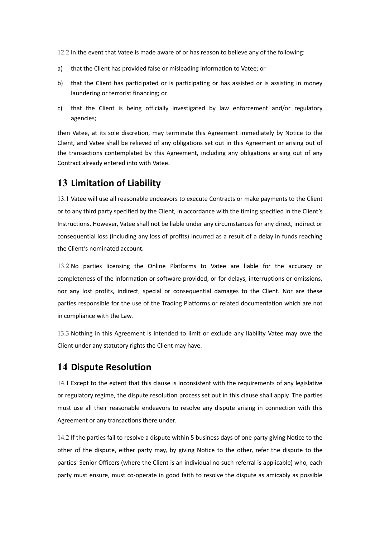12.2 In the event that Vatee is made aware of or has reason to believe any of the following:

- a) that the Client has provided false or misleading information to Vatee; or
- b) that the Client has participated or is participating or has assisted or is assisting in money laundering or terrorist financing; or
- c) that the Client is being officially investigated by law enforcement and/or regulatory agencies;

then Vatee, at its sole discretion, may terminate this Agreement immediately by Notice to the Client, and Vatee shall be relieved of any obligations set out in this Agreement or arising out of the transactions contemplated by this Agreement, including any obligations arising out of any Contract already entered into with Vatee.

# **13 Limitation of Liability**

13.1 Vatee will use all reasonable endeavors to execute Contracts or make payments to the Client or to any third party specified by the Client, in accordance with the timing specified in the Client's Instructions. However, Vatee shall not be liable under any circumstances for any direct, indirect or consequential loss (including any loss of profits) incurred as a result of a delay in funds reaching the Client's nominated account.

13.2 No parties licensing the Online Platforms to Vatee are liable for the accuracy or completeness of the information or software provided, or for delays, interruptions or omissions, nor any lost profits, indirect, special or consequential damages to the Client. Nor are these parties responsible for the use of the Trading Platforms or related documentation which are not in compliance with the Law.

13.3 Nothing in this Agreement is intended to limit or exclude any liability Vatee may owe the Client under any statutory rights the Client may have.

# **14 Dispute Resolution**

14.1 Except to the extent that this clause is inconsistent with the requirements of any legislative or regulatory regime, the dispute resolution process set out in this clause shall apply. The parties must use all their reasonable endeavors to resolve any dispute arising in connection with this Agreement or any transactions there under.

14.2 If the parties fail to resolve a dispute within 5 business days of one party giving Notice to the other of the dispute, either party may, by giving Notice to the other, refer the dispute to the parties' Senior Officers (where the Client is an individual no such referral is applicable) who, each party must ensure, must co-operate in good faith to resolve the dispute as amicably as possible